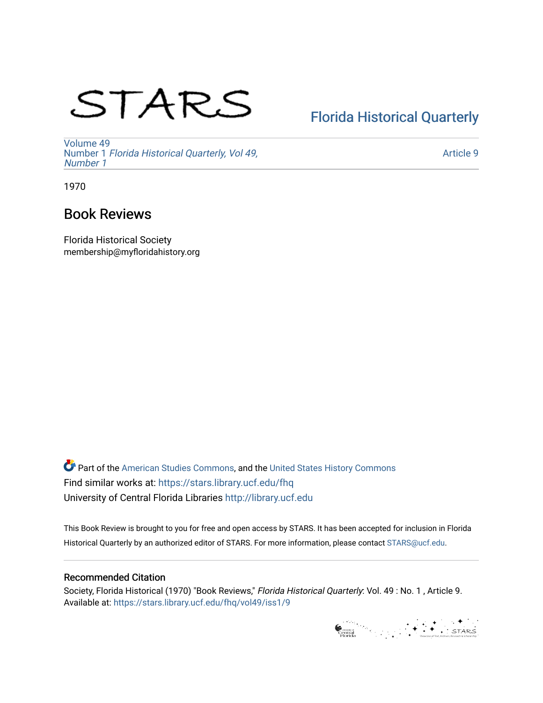# STARS

# [Florida Historical Quarterly](https://stars.library.ucf.edu/fhq)

[Volume 49](https://stars.library.ucf.edu/fhq/vol49) Number 1 [Florida Historical Quarterly, Vol 49,](https://stars.library.ucf.edu/fhq/vol49/iss1)  [Number 1](https://stars.library.ucf.edu/fhq/vol49/iss1)

[Article 9](https://stars.library.ucf.edu/fhq/vol49/iss1/9) 

1970

## Book Reviews

Florida Historical Society membership@myfloridahistory.org

**C** Part of the [American Studies Commons](http://network.bepress.com/hgg/discipline/439?utm_source=stars.library.ucf.edu%2Ffhq%2Fvol49%2Fiss1%2F9&utm_medium=PDF&utm_campaign=PDFCoverPages), and the United States History Commons Find similar works at: <https://stars.library.ucf.edu/fhq> University of Central Florida Libraries [http://library.ucf.edu](http://library.ucf.edu/) 

This Book Review is brought to you for free and open access by STARS. It has been accepted for inclusion in Florida Historical Quarterly by an authorized editor of STARS. For more information, please contact [STARS@ucf.edu.](mailto:STARS@ucf.edu)

## Recommended Citation

Society, Florida Historical (1970) "Book Reviews," Florida Historical Quarterly: Vol. 49 : No. 1 , Article 9. Available at: [https://stars.library.ucf.edu/fhq/vol49/iss1/9](https://stars.library.ucf.edu/fhq/vol49/iss1/9?utm_source=stars.library.ucf.edu%2Ffhq%2Fvol49%2Fiss1%2F9&utm_medium=PDF&utm_campaign=PDFCoverPages) 

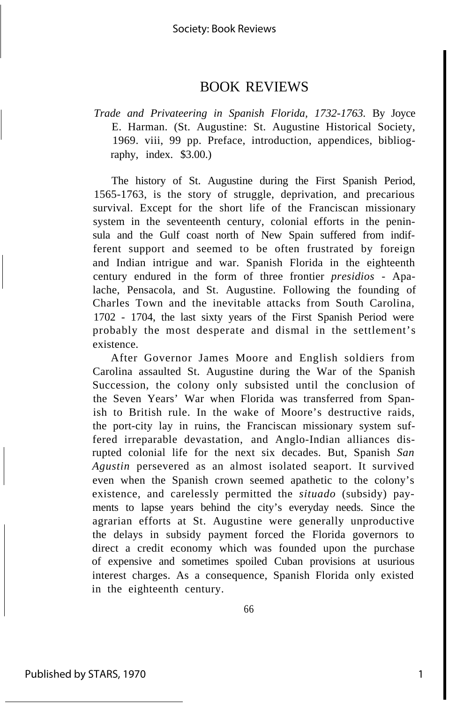*Trade and Privateering in Spanish Florida, 1732-1763.* By Joyce E. Harman. (St. Augustine: St. Augustine Historical Society, 1969. viii, 99 pp. Preface, introduction, appendices, bibliography, index. \$3.00.)

The history of St. Augustine during the First Spanish Period, 1565-1763, is the story of struggle, deprivation, and precarious survival. Except for the short life of the Franciscan missionary system in the seventeenth century, colonial efforts in the peninsula and the Gulf coast north of New Spain suffered from indifferent support and seemed to be often frustrated by foreign and Indian intrigue and war. Spanish Florida in the eighteenth century endured in the form of three frontier *presidios* - Apalache, Pensacola, and St. Augustine. Following the founding of Charles Town and the inevitable attacks from South Carolina, 1702 - 1704, the last sixty years of the First Spanish Period were probably the most desperate and dismal in the settlement's existence.

After Governor James Moore and English soldiers from Carolina assaulted St. Augustine during the War of the Spanish Succession, the colony only subsisted until the conclusion of the Seven Years' War when Florida was transferred from Spanish to British rule. In the wake of Moore's destructive raids, the port-city lay in ruins, the Franciscan missionary system suffered irreparable devastation, and Anglo-Indian alliances disrupted colonial life for the next six decades. But, Spanish *San Agustin* persevered as an almost isolated seaport. It survived even when the Spanish crown seemed apathetic to the colony's existence, and carelessly permitted the *situado* (subsidy) payments to lapse years behind the city's everyday needs. Since the agrarian efforts at St. Augustine were generally unproductive the delays in subsidy payment forced the Florida governors to direct a credit economy which was founded upon the purchase of expensive and sometimes spoiled Cuban provisions at usurious interest charges. As a consequence, Spanish Florida only existed in the eighteenth century.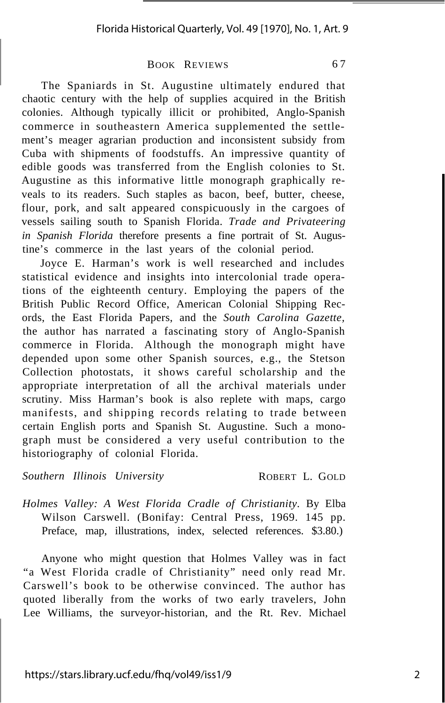The Spaniards in St. Augustine ultimately endured that chaotic century with the help of supplies acquired in the British colonies. Although typically illicit or prohibited, Anglo-Spanish commerce in southeastern America supplemented the settlement's meager agrarian production and inconsistent subsidy from Cuba with shipments of foodstuffs. An impressive quantity of edible goods was transferred from the English colonies to St. Augustine as this informative little monograph graphically reveals to its readers. Such staples as bacon, beef, butter, cheese, flour, pork, and salt appeared conspicuously in the cargoes of vessels sailing south to Spanish Florida. *Trade and Privateering in Spanish Florida* therefore presents a fine portrait of St. Augustine's commerce in the last years of the colonial period.

Joyce E. Harman's work is well researched and includes statistical evidence and insights into intercolonial trade operations of the eighteenth century. Employing the papers of the British Public Record Office, American Colonial Shipping Records, the East Florida Papers, and the *South Carolina Gazette,* the author has narrated a fascinating story of Anglo-Spanish commerce in Florida. Although the monograph might have depended upon some other Spanish sources, e.g., the Stetson Collection photostats, it shows careful scholarship and the appropriate interpretation of all the archival materials under scrutiny. Miss Harman's book is also replete with maps, cargo manifests, and shipping records relating to trade between certain English ports and Spanish St. Augustine. Such a monograph must be considered a very useful contribution to the historiography of colonial Florida.

**Southern Illinois University ROBERT L. GOLD** 

*Holmes Valley: A West Florida Cradle of Christianity.* By Elba Wilson Carswell. (Bonifay: Central Press, 1969. 145 pp. Preface, map, illustrations, index, selected references. \$3.80.)

Anyone who might question that Holmes Valley was in fact "a West Florida cradle of Christianity" need only read Mr. Carswell's book to be otherwise convinced. The author has quoted liberally from the works of two early travelers, John Lee Williams, the surveyor-historian, and the Rt. Rev. Michael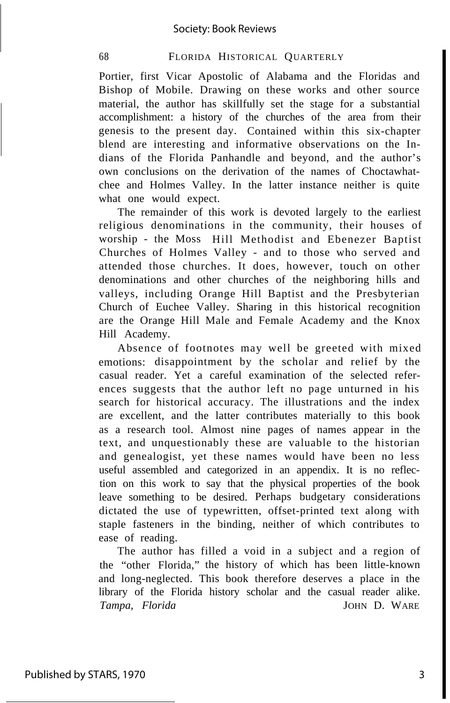Portier, first Vicar Apostolic of Alabama and the Floridas and Bishop of Mobile. Drawing on these works and other source material, the author has skillfully set the stage for a substantial accomplishment: a history of the churches of the area from their genesis to the present day. Contained within this six-chapter blend are interesting and informative observations on the Indians of the Florida Panhandle and beyond, and the author's own conclusions on the derivation of the names of Choctawhatchee and Holmes Valley. In the latter instance neither is quite what one would expect.

The remainder of this work is devoted largely to the earliest religious denominations in the community, their houses of worship - the Moss Hill Methodist and Ebenezer Baptist Churches of Holmes Valley - and to those who served and attended those churches. It does, however, touch on other denominations and other churches of the neighboring hills and valleys, including Orange Hill Baptist and the Presbyterian Church of Euchee Valley. Sharing in this historical recognition are the Orange Hill Male and Female Academy and the Knox Hill Academy.

Absence of footnotes may well be greeted with mixed emotions: disappointment by the scholar and relief by the casual reader. Yet a careful examination of the selected references suggests that the author left no page unturned in his search for historical accuracy. The illustrations and the index are excellent, and the latter contributes materially to this book as a research tool. Almost nine pages of names appear in the text, and unquestionably these are valuable to the historian and genealogist, yet these names would have been no less useful assembled and categorized in an appendix. It is no reflection on this work to say that the physical properties of the book leave something to be desired. Perhaps budgetary considerations dictated the use of typewritten, offset-printed text along with staple fasteners in the binding, neither of which contributes to ease of reading.

The author has filled a void in a subject and a region of the "other Florida," the history of which has been little-known and long-neglected. This book therefore deserves a place in the library of the Florida history scholar and the casual reader alike. *Tampa, Florida* JOHN D. WARE

Published by STARS, 1970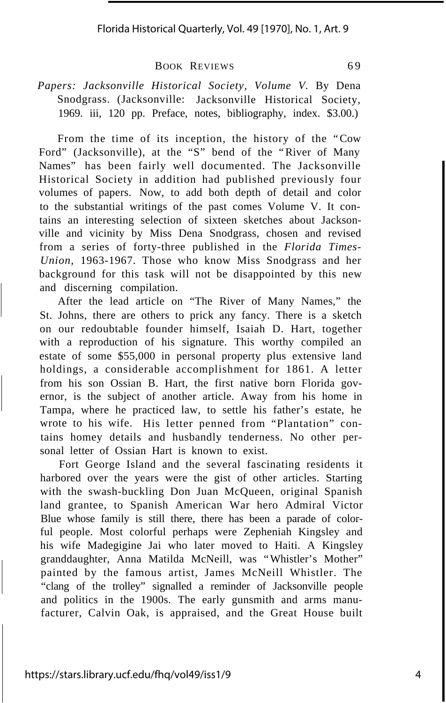*Papers: Jacksonville Historical Society, Volume V.* By Dena Snodgrass. (Jacksonville: Jacksonville Historical Society, 1969. iii, 120 pp. Preface, notes, bibliography, index. \$3.00.)

From the time of its inception, the history of the "Cow Ford" (Jacksonville), at the "S" bend of the "River of Many Names" has been fairly well documented. The Jacksonville Historical Society in addition had published previously four volumes of papers. Now, to add both depth of detail and color to the substantial writings of the past comes Volume V. It contains an interesting selection of sixteen sketches about Jacksonville and vicinity by Miss Dena Snodgrass, chosen and revised from a series of forty-three published in the *Florida Times-Union,* 1963-1967. Those who know Miss Snodgrass and her background for this task will not be disappointed by this new and discerning compilation.

After the lead article on "The River of Many Names," the St. Johns, there are others to prick any fancy. There is a sketch on our redoubtable founder himself, Isaiah D. Hart, together with a reproduction of his signature. This worthy compiled an estate of some \$55,000 in personal property plus extensive land holdings, a considerable accomplishment for 1861. A letter from his son Ossian B. Hart, the first native born Florida governor, is the subject of another article. Away from his home in Tampa, where he practiced law, to settle his father's estate, he wrote to his wife. His letter penned from "Plantation" contains homey details and husbandly tenderness. No other personal letter of Ossian Hart is known to exist.

Fort George Island and the several fascinating residents it harbored over the years were the gist of other articles. Starting with the swash-buckling Don Juan McQueen, original Spanish land grantee, to Spanish American War hero Admiral Victor Blue whose family is still there, there has been a parade of colorful people. Most colorful perhaps were Zepheniah Kingsley and his wife Madegigine Jai who later moved to Haiti. A Kingsley granddaughter, Anna Matilda McNeill, was "Whistler's Mother" painted by the famous artist, James McNeill Whistler. The "clang of the trolley" signalled a reminder of Jacksonville people and politics in the 1900s. The early gunsmith and arms manufacturer, Calvin Oak, is appraised, and the Great House built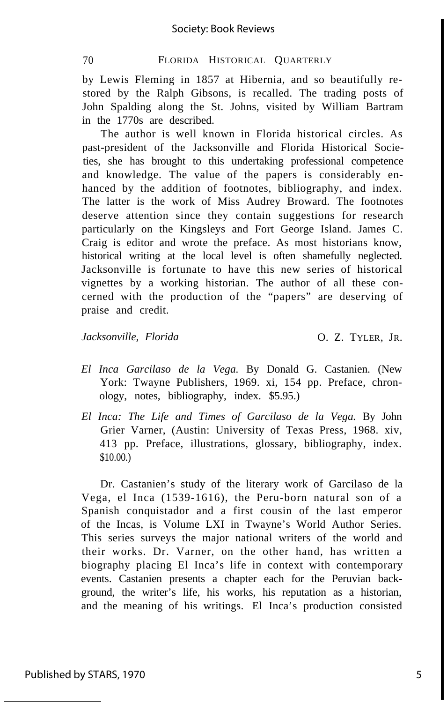by Lewis Fleming in 1857 at Hibernia, and so beautifully restored by the Ralph Gibsons, is recalled. The trading posts of John Spalding along the St. Johns, visited by William Bartram in the 1770s are described.

The author is well known in Florida historical circles. As past-president of the Jacksonville and Florida Historical Societies, she has brought to this undertaking professional competence and knowledge. The value of the papers is considerably enhanced by the addition of footnotes, bibliography, and index. The latter is the work of Miss Audrey Broward. The footnotes deserve attention since they contain suggestions for research particularly on the Kingsleys and Fort George Island. James C. Craig is editor and wrote the preface. As most historians know, historical writing at the local level is often shamefully neglected. Jacksonville is fortunate to have this new series of historical vignettes by a working historian. The author of all these concerned with the production of the "papers" are deserving of praise and credit.

*Jacksonville, Florida* O. Z. TYLER, JR.

- *El Inca Garcilaso de la Vega.* By Donald G. Castanien. (New York: Twayne Publishers, 1969. xi, 154 pp. Preface, chronology, notes, bibliography, index. \$5.95.)
- *El Inca: The Life and Times of Garcilaso de la Vega.* By John Grier Varner, (Austin: University of Texas Press, 1968. xiv, 413 pp. Preface, illustrations, glossary, bibliography, index. \$10.00.)

Dr. Castanien's study of the literary work of Garcilaso de la Vega, el Inca (1539-1616), the Peru-born natural son of a Spanish conquistador and a first cousin of the last emperor of the Incas, is Volume LXI in Twayne's World Author Series. This series surveys the major national writers of the world and their works. Dr. Varner, on the other hand, has written a biography placing El Inca's life in context with contemporary events. Castanien presents a chapter each for the Peruvian background, the writer's life, his works, his reputation as a historian, and the meaning of his writings. El Inca's production consisted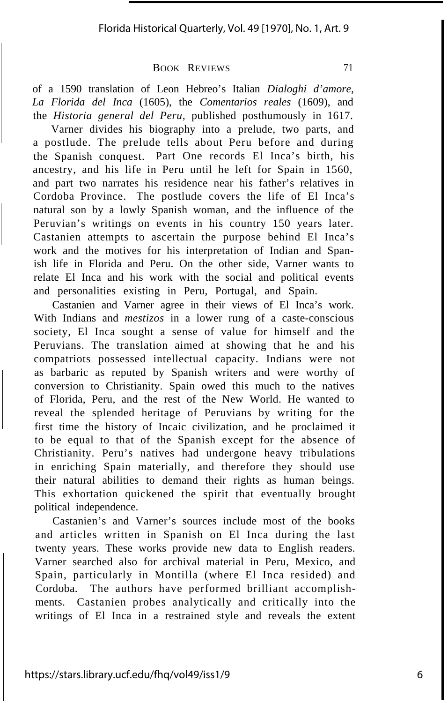of a 1590 translation of Leon Hebreo's Italian *Dialoghi d'amore, La Florida del Inca* (1605), the *Comentarios reales* (1609), and the *Historia general del Peru,* published posthumously in 1617.

Varner divides his biography into a prelude, two parts, and a postlude. The prelude tells about Peru before and during the Spanish conquest. Part One records El Inca's birth, his ancestry, and his life in Peru until he left for Spain in 1560, and part two narrates his residence near his father's relatives in Cordoba Province. The postlude covers the life of El Inca's natural son by a lowly Spanish woman, and the influence of the Peruvian's writings on events in his country 150 years later. Castanien attempts to ascertain the purpose behind El Inca's work and the motives for his interpretation of Indian and Spanish life in Florida and Peru. On the other side, Varner wants to relate El Inca and his work with the social and political events and personalities existing in Peru, Portugal, and Spain.

Castanien and Varner agree in their views of El Inca's work. With Indians and *mestizos* in a lower rung of a caste-conscious society, El Inca sought a sense of value for himself and the Peruvians. The translation aimed at showing that he and his compatriots possessed intellectual capacity. Indians were not as barbaric as reputed by Spanish writers and were worthy of conversion to Christianity. Spain owed this much to the natives of Florida, Peru, and the rest of the New World. He wanted to reveal the splended heritage of Peruvians by writing for the first time the history of Incaic civilization, and he proclaimed it to be equal to that of the Spanish except for the absence of Christianity. Peru's natives had undergone heavy tribulations in enriching Spain materially, and therefore they should use their natural abilities to demand their rights as human beings. This exhortation quickened the spirit that eventually brought political independence.

Castanien's and Varner's sources include most of the books and articles written in Spanish on El Inca during the last twenty years. These works provide new data to English readers. Varner searched also for archival material in Peru, Mexico, and Spain, particularly in Montilla (where El Inca resided) and Cordoba. The authors have performed brilliant accomplishments. Castanien probes analytically and critically into the writings of El Inca in a restrained style and reveals the extent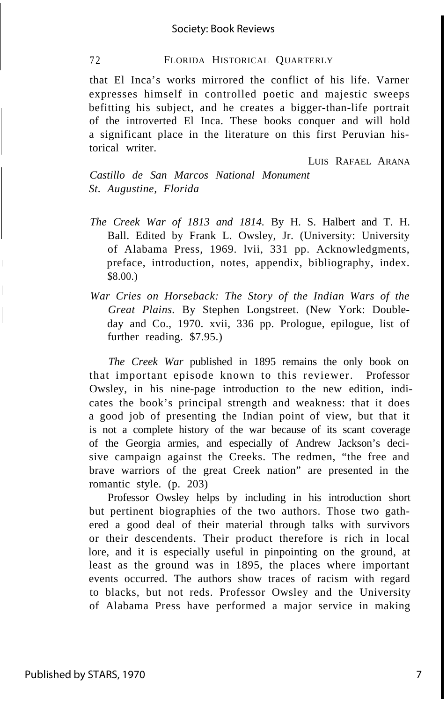that El Inca's works mirrored the conflict of his life. Varner expresses himself in controlled poetic and majestic sweeps befitting his subject, and he creates a bigger-than-life portrait of the introverted El Inca. These books conquer and will hold a significant place in the literature on this first Peruvian historical writer.

LUIS RAFAEL ARANA

*Castillo de San Marcos National Monument St. Augustine, Florida*

- *The Creek War of 1813 and 1814.* By H. S. Halbert and T. H. Ball. Edited by Frank L. Owsley, Jr. (University: University of Alabama Press, 1969. lvii, 331 pp. Acknowledgments, preface, introduction, notes, appendix, bibliography, index. \$8.00.)
- *War Cries on Horseback: The Story of the Indian Wars of the Great Plains.* By Stephen Longstreet. (New York: Doubleday and Co., 1970. xvii, 336 pp. Prologue, epilogue, list of further reading. \$7.95.)

*The Creek War* published in 1895 remains the only book on that important episode known to this reviewer. Professor Owsley, in his nine-page introduction to the new edition, indicates the book's principal strength and weakness: that it does a good job of presenting the Indian point of view, but that it is not a complete history of the war because of its scant coverage of the Georgia armies, and especially of Andrew Jackson's decisive campaign against the Creeks. The redmen, "the free and brave warriors of the great Creek nation" are presented in the romantic style. (p. 203)

Professor Owsley helps by including in his introduction short but pertinent biographies of the two authors. Those two gathered a good deal of their material through talks with survivors or their descendents. Their product therefore is rich in local lore, and it is especially useful in pinpointing on the ground, at least as the ground was in 1895, the places where important events occurred. The authors show traces of racism with regard to blacks, but not reds. Professor Owsley and the University of Alabama Press have performed a major service in making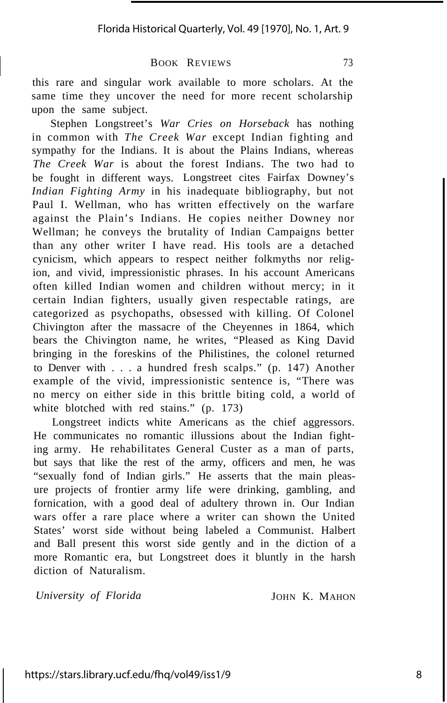this rare and singular work available to more scholars. At the same time they uncover the need for more recent scholarship upon the same subject.

Stephen Longstreet's *War Cries on Horseback* has nothing in common with *The Creek War* except Indian fighting and sympathy for the Indians. It is about the Plains Indians, whereas *The Creek War* is about the forest Indians. The two had to be fought in different ways. Longstreet cites Fairfax Downey's *Indian Fighting Army* in his inadequate bibliography, but not Paul I. Wellman, who has written effectively on the warfare against the Plain's Indians. He copies neither Downey nor Wellman; he conveys the brutality of Indian Campaigns better than any other writer I have read. His tools are a detached cynicism, which appears to respect neither folkmyths nor religion, and vivid, impressionistic phrases. In his account Americans often killed Indian women and children without mercy; in it certain Indian fighters, usually given respectable ratings, are categorized as psychopaths, obsessed with killing. Of Colonel Chivington after the massacre of the Cheyennes in 1864, which bears the Chivington name, he writes, "Pleased as King David bringing in the foreskins of the Philistines, the colonel returned to Denver with . . . a hundred fresh scalps." (p. 147) Another example of the vivid, impressionistic sentence is, "There was no mercy on either side in this brittle biting cold, a world of white blotched with red stains." (p. 173)

Longstreet indicts white Americans as the chief aggressors. He communicates no romantic illussions about the Indian fighting army. He rehabilitates General Custer as a man of parts, but says that like the rest of the army, officers and men, he was "sexually fond of Indian girls." He asserts that the main pleasure projects of frontier army life were drinking, gambling, and fornication, with a good deal of adultery thrown in. Our Indian wars offer a rare place where a writer can shown the United States' worst side without being labeled a Communist. Halbert and Ball present this worst side gently and in the diction of a more Romantic era, but Longstreet does it bluntly in the harsh diction of Naturalism.

*University of Florida* JOHN K. MAHON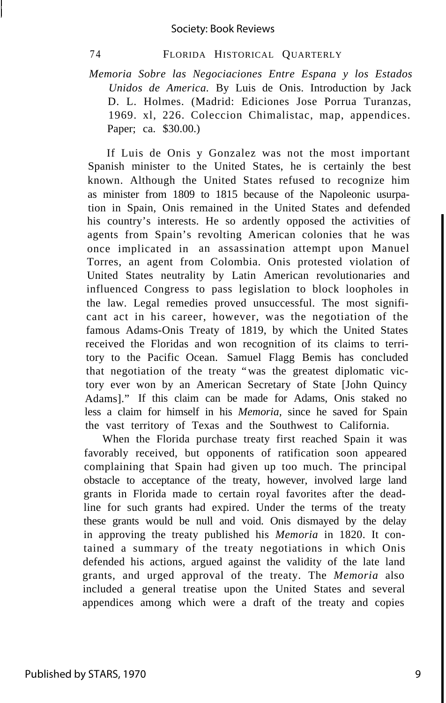*Memoria Sobre las Negociaciones Entre Espana y los Estados Unidos de America.* By Luis de Onis. Introduction by Jack D. L. Holmes. (Madrid: Ediciones Jose Porrua Turanzas, 1969. xl, 226. Coleccion Chimalistac, map, appendices. Paper; ca. \$30.00.)

If Luis de Onis y Gonzalez was not the most important Spanish minister to the United States, he is certainly the best known. Although the United States refused to recognize him as minister from 1809 to 1815 because of the Napoleonic usurpation in Spain, Onis remained in the United States and defended his country's interests. He so ardently opposed the activities of agents from Spain's revolting American colonies that he was once implicated in an assassination attempt upon Manuel Torres, an agent from Colombia. Onis protested violation of United States neutrality by Latin American revolutionaries and influenced Congress to pass legislation to block loopholes in the law. Legal remedies proved unsuccessful. The most significant act in his career, however, was the negotiation of the famous Adams-Onis Treaty of 1819, by which the United States received the Floridas and won recognition of its claims to territory to the Pacific Ocean. Samuel Flagg Bemis has concluded that negotiation of the treaty "was the greatest diplomatic victory ever won by an American Secretary of State [John Quincy Adams]." If this claim can be made for Adams, Onis staked no less a claim for himself in his *Memoria,* since he saved for Spain the vast territory of Texas and the Southwest to California.

When the Florida purchase treaty first reached Spain it was favorably received, but opponents of ratification soon appeared complaining that Spain had given up too much. The principal obstacle to acceptance of the treaty, however, involved large land grants in Florida made to certain royal favorites after the deadline for such grants had expired. Under the terms of the treaty these grants would be null and void. Onis dismayed by the delay in approving the treaty published his *Memoria* in 1820. It contained a summary of the treaty negotiations in which Onis defended his actions, argued against the validity of the late land grants, and urged approval of the treaty. The *Memoria* also included a general treatise upon the United States and several appendices among which were a draft of the treaty and copies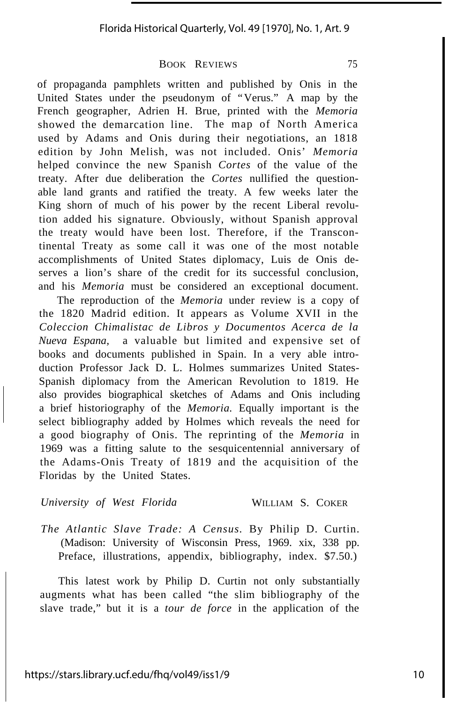of propaganda pamphlets written and published by Onis in the United States under the pseudonym of "Verus." A map by the French geographer, Adrien H. Brue, printed with the *Memoria* showed the demarcation line. The map of North America used by Adams and Onis during their negotiations, an 1818 edition by John Melish, was not included. Onis' *Memoria* helped convince the new Spanish *Cortes* of the value of the treaty. After due deliberation the *Cortes* nullified the questionable land grants and ratified the treaty. A few weeks later the King shorn of much of his power by the recent Liberal revolution added his signature. Obviously, without Spanish approval the treaty would have been lost. Therefore, if the Transcontinental Treaty as some call it was one of the most notable accomplishments of United States diplomacy, Luis de Onis deserves a lion's share of the credit for its successful conclusion, and his *Memoria* must be considered an exceptional document.

The reproduction of the *Memoria* under review is a copy of the 1820 Madrid edition. It appears as Volume XVII in the *Coleccion Chimalistac de Libros y Documentos Acerca de la Nueva Espana,* a valuable but limited and expensive set of books and documents published in Spain. In a very able introduction Professor Jack D. L. Holmes summarizes United States-Spanish diplomacy from the American Revolution to 1819. He also provides biographical sketches of Adams and Onis including a brief historiography of the *Memoria.* Equally important is the select bibliography added by Holmes which reveals the need for a good biography of Onis. The reprinting of the *Memoria* in 1969 was a fitting salute to the sesquicentennial anniversary of the Adams-Onis Treaty of 1819 and the acquisition of the Floridas by the United States.

#### *University of West Florida* WILLIAM S. COKER

*The Atlantic Slave Trade: A Census.* By Philip D. Curtin. (Madison: University of Wisconsin Press, 1969. xix, 338 pp. Preface, illustrations, appendix, bibliography, index. \$7.50.)

This latest work by Philip D. Curtin not only substantially augments what has been called "the slim bibliography of the slave trade," but it is a *tour de force* in the application of the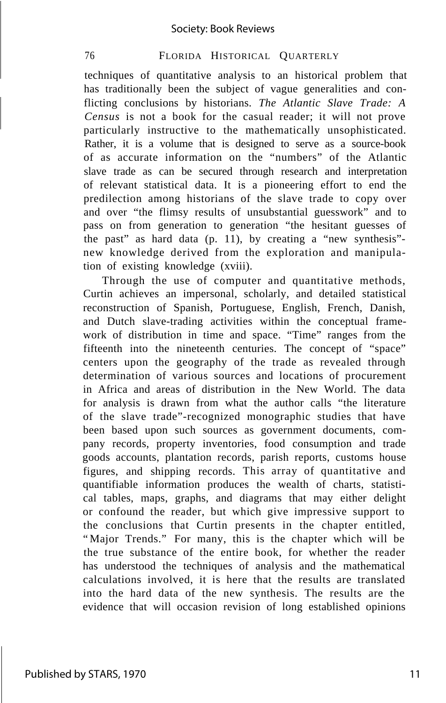techniques of quantitative analysis to an historical problem that has traditionally been the subject of vague generalities and conflicting conclusions by historians. *The Atlantic Slave Trade: A Census* is not a book for the casual reader; it will not prove particularly instructive to the mathematically unsophisticated. Rather, it is a volume that is designed to serve as a source-book of as accurate information on the "numbers" of the Atlantic slave trade as can be secured through research and interpretation of relevant statistical data. It is a pioneering effort to end the predilection among historians of the slave trade to copy over and over "the flimsy results of unsubstantial guesswork" and to pass on from generation to generation "the hesitant guesses of the past" as hard data (p. 11), by creating a "new synthesis" new knowledge derived from the exploration and manipulation of existing knowledge (xviii).

Through the use of computer and quantitative methods, Curtin achieves an impersonal, scholarly, and detailed statistical reconstruction of Spanish, Portuguese, English, French, Danish, and Dutch slave-trading activities within the conceptual framework of distribution in time and space. "Time" ranges from the fifteenth into the nineteenth centuries. The concept of "space" centers upon the geography of the trade as revealed through determination of various sources and locations of procurement in Africa and areas of distribution in the New World. The data for analysis is drawn from what the author calls "the literature of the slave trade"-recognized monographic studies that have been based upon such sources as government documents, company records, property inventories, food consumption and trade goods accounts, plantation records, parish reports, customs house figures, and shipping records. This array of quantitative and quantifiable information produces the wealth of charts, statistical tables, maps, graphs, and diagrams that may either delight or confound the reader, but which give impressive support to the conclusions that Curtin presents in the chapter entitled, "Major Trends." For many, this is the chapter which will be the true substance of the entire book, for whether the reader has understood the techniques of analysis and the mathematical calculations involved, it is here that the results are translated into the hard data of the new synthesis. The results are the evidence that will occasion revision of long established opinions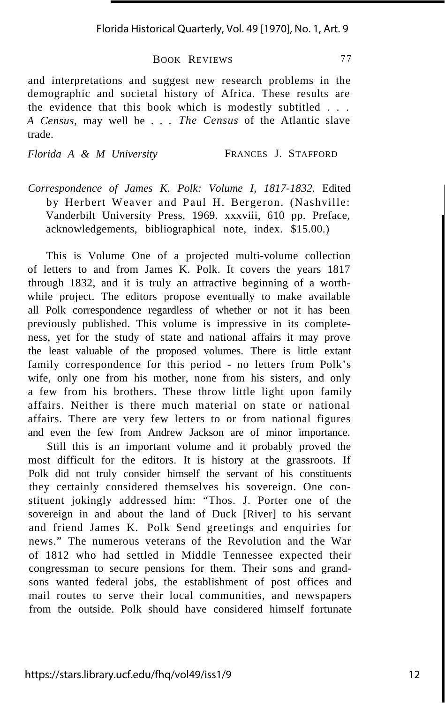and interpretations and suggest new research problems in the demographic and societal history of Africa. These results are the evidence that this book which is modestly subtitled . . . *A Census,* may well be . . . *The Census* of the Atlantic slave trade.

*Florida A & M University* FRANCES J. STAFFORD

*Correspondence of James K. Polk: Volume I, 1817-1832.* Edited by Herbert Weaver and Paul H. Bergeron. (Nashville: Vanderbilt University Press, 1969. xxxviii, 610 pp. Preface, acknowledgements, bibliographical note, index. \$15.00.)

This is Volume One of a projected multi-volume collection of letters to and from James K. Polk. It covers the years 1817 through 1832, and it is truly an attractive beginning of a worthwhile project. The editors propose eventually to make available all Polk correspondence regardless of whether or not it has been previously published. This volume is impressive in its completeness, yet for the study of state and national affairs it may prove the least valuable of the proposed volumes. There is little extant family correspondence for this period - no letters from Polk's wife, only one from his mother, none from his sisters, and only a few from his brothers. These throw little light upon family affairs. Neither is there much material on state or national affairs. There are very few letters to or from national figures and even the few from Andrew Jackson are of minor importance.

Still this is an important volume and it probably proved the most difficult for the editors. It is history at the grassroots. If Polk did not truly consider himself the servant of his constituents they certainly considered themselves his sovereign. One constituent jokingly addressed him: "Thos. J. Porter one of the sovereign in and about the land of Duck [River] to his servant and friend James K. Polk Send greetings and enquiries for news." The numerous veterans of the Revolution and the War of 1812 who had settled in Middle Tennessee expected their congressman to secure pensions for them. Their sons and grandsons wanted federal jobs, the establishment of post offices and mail routes to serve their local communities, and newspapers from the outside. Polk should have considered himself fortunate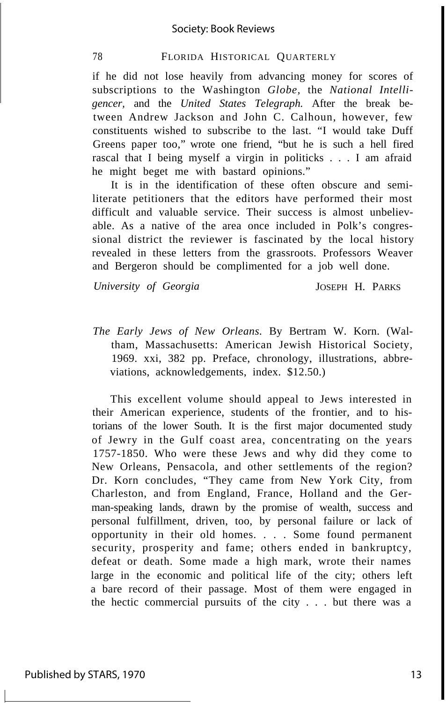if he did not lose heavily from advancing money for scores of subscriptions to the Washington *Globe,* the *National Intelligencer,* and the *United States Telegraph.* After the break between Andrew Jackson and John C. Calhoun, however, few constituents wished to subscribe to the last. "I would take Duff Greens paper too," wrote one friend, "but he is such a hell fired rascal that I being myself a virgin in politicks . . . I am afraid he might beget me with bastard opinions."

It is in the identification of these often obscure and semiliterate petitioners that the editors have performed their most difficult and valuable service. Their success is almost unbelievable. As a native of the area once included in Polk's congressional district the reviewer is fascinated by the local history revealed in these letters from the grassroots. Professors Weaver and Bergeron should be complimented for a job well done.

*University of Georgia* JOSEPH H. PARKS

*The Early Jews of New Orleans.* By Bertram W. Korn. (Waltham, Massachusetts: American Jewish Historical Society, 1969. xxi, 382 pp. Preface, chronology, illustrations, abbreviations, acknowledgements, index. \$12.50.)

This excellent volume should appeal to Jews interested in their American experience, students of the frontier, and to historians of the lower South. It is the first major documented study of Jewry in the Gulf coast area, concentrating on the years 1757-1850. Who were these Jews and why did they come to New Orleans, Pensacola, and other settlements of the region? Dr. Korn concludes, "They came from New York City, from Charleston, and from England, France, Holland and the German-speaking lands, drawn by the promise of wealth, success and personal fulfillment, driven, too, by personal failure or lack of opportunity in their old homes. . . . Some found permanent security, prosperity and fame; others ended in bankruptcy, defeat or death. Some made a high mark, wrote their names large in the economic and political life of the city; others left a bare record of their passage. Most of them were engaged in the hectic commercial pursuits of the city . . . but there was a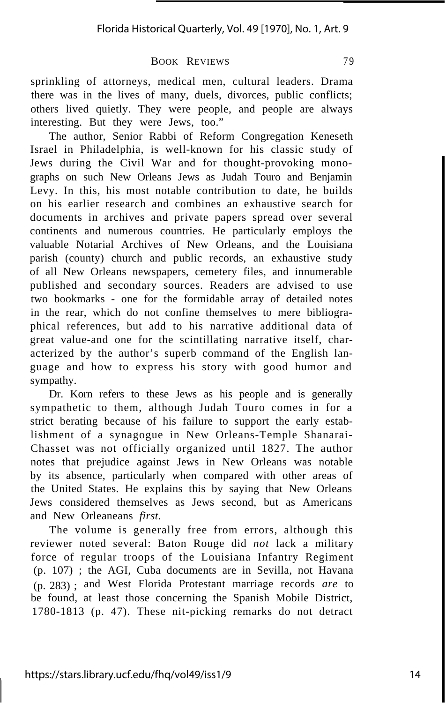sprinkling of attorneys, medical men, cultural leaders. Drama there was in the lives of many, duels, divorces, public conflicts; others lived quietly. They were people, and people are always interesting. But they were Jews, too."

The author, Senior Rabbi of Reform Congregation Keneseth Israel in Philadelphia, is well-known for his classic study of Jews during the Civil War and for thought-provoking monographs on such New Orleans Jews as Judah Touro and Benjamin Levy. In this, his most notable contribution to date, he builds on his earlier research and combines an exhaustive search for documents in archives and private papers spread over several continents and numerous countries. He particularly employs the valuable Notarial Archives of New Orleans, and the Louisiana parish (county) church and public records, an exhaustive study of all New Orleans newspapers, cemetery files, and innumerable published and secondary sources. Readers are advised to use two bookmarks - one for the formidable array of detailed notes in the rear, which do not confine themselves to mere bibliographical references, but add to his narrative additional data of great value-and one for the scintillating narrative itself, characterized by the author's superb command of the English language and how to express his story with good humor and sympathy.

Dr. Korn refers to these Jews as his people and is generally sympathetic to them, although Judah Touro comes in for a strict berating because of his failure to support the early establishment of a synagogue in New Orleans-Temple Shanarai-Chasset was not officially organized until 1827. The author notes that prejudice against Jews in New Orleans was notable by its absence, particularly when compared with other areas of the United States. He explains this by saying that New Orleans Jews considered themselves as Jews second, but as Americans and New Orleaneans *first.*

The volume is generally free from errors, although this reviewer noted several: Baton Rouge did *not* lack a military force of regular troops of the Louisiana Infantry Regiment (p. 107) ; the AGI, Cuba documents are in Sevilla, not Havana (p. 283) ; and West Florida Protestant marriage records *are* to be found, at least those concerning the Spanish Mobile District, 1780-1813 (p. 47). These nit-picking remarks do not detract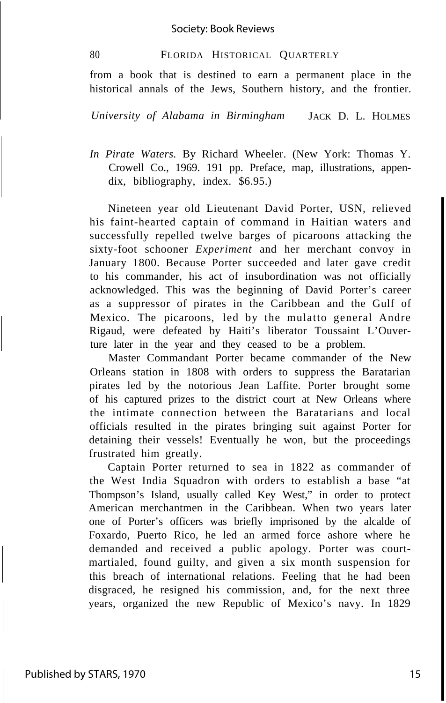from a book that is destined to earn a permanent place in the historical annals of the Jews, Southern history, and the frontier.

*University of Alabama in Birmingham* JACK D. L. HOLMES

*In Pirate Waters.* By Richard Wheeler. (New York: Thomas Y. Crowell Co., 1969. 191 pp. Preface, map, illustrations, appendix, bibliography, index. \$6.95.)

Nineteen year old Lieutenant David Porter, USN, relieved his faint-hearted captain of command in Haitian waters and successfully repelled twelve barges of picaroons attacking the sixty-foot schooner *Experiment* and her merchant convoy in January 1800. Because Porter succeeded and later gave credit to his commander, his act of insubordination was not officially acknowledged. This was the beginning of David Porter's career as a suppressor of pirates in the Caribbean and the Gulf of Mexico. The picaroons, led by the mulatto general Andre Rigaud, were defeated by Haiti's liberator Toussaint L'Ouverture later in the year and they ceased to be a problem.

Master Commandant Porter became commander of the New Orleans station in 1808 with orders to suppress the Baratarian pirates led by the notorious Jean Laffite. Porter brought some of his captured prizes to the district court at New Orleans where the intimate connection between the Baratarians and local officials resulted in the pirates bringing suit against Porter for detaining their vessels! Eventually he won, but the proceedings frustrated him greatly.

Captain Porter returned to sea in 1822 as commander of the West India Squadron with orders to establish a base "at Thompson's Island, usually called Key West," in order to protect American merchantmen in the Caribbean. When two years later one of Porter's officers was briefly imprisoned by the alcalde of Foxardo, Puerto Rico, he led an armed force ashore where he demanded and received a public apology. Porter was courtmartialed, found guilty, and given a six month suspension for this breach of international relations. Feeling that he had been disgraced, he resigned his commission, and, for the next three years, organized the new Republic of Mexico's navy. In 1829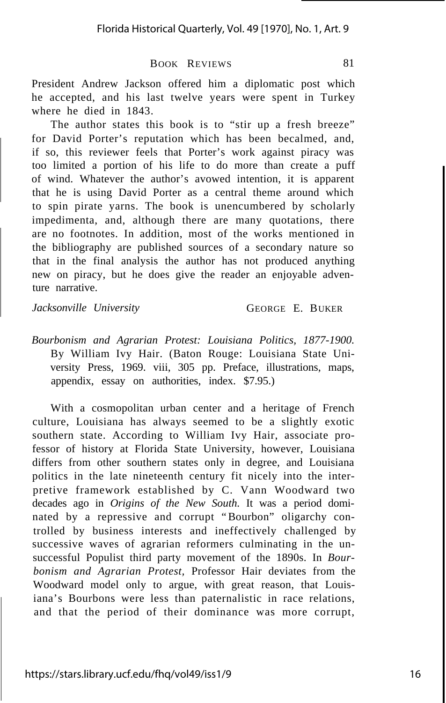President Andrew Jackson offered him a diplomatic post which he accepted, and his last twelve years were spent in Turkey where he died in 1843.

The author states this book is to "stir up a fresh breeze" for David Porter's reputation which has been becalmed, and, if so, this reviewer feels that Porter's work against piracy was too limited a portion of his life to do more than create a puff of wind. Whatever the author's avowed intention, it is apparent that he is using David Porter as a central theme around which to spin pirate yarns. The book is unencumbered by scholarly impedimenta, and, although there are many quotations, there are no footnotes. In addition, most of the works mentioned in the bibliography are published sources of a secondary nature so that in the final analysis the author has not produced anything new on piracy, but he does give the reader an enjoyable adventure narrative.

*Jacksonville University* **GEORGE E. BUKER** 

*Bourbonism and Agrarian Protest: Louisiana Politics, 1877-1900.* By William Ivy Hair. (Baton Rouge: Louisiana State University Press, 1969. viii, 305 pp. Preface, illustrations, maps, appendix, essay on authorities, index. \$7.95.)

With a cosmopolitan urban center and a heritage of French culture, Louisiana has always seemed to be a slightly exotic southern state. According to William Ivy Hair, associate professor of history at Florida State University, however, Louisiana differs from other southern states only in degree, and Louisiana politics in the late nineteenth century fit nicely into the interpretive framework established by C. Vann Woodward two decades ago in *Origins of the New South.* It was a period dominated by a repressive and corrupt "Bourbon" oligarchy controlled by business interests and ineffectively challenged by successive waves of agrarian reformers culminating in the unsuccessful Populist third party movement of the 1890s. In *Bourbonism and Agrarian Protest,* Professor Hair deviates from the Woodward model only to argue, with great reason, that Louisiana's Bourbons were less than paternalistic in race relations, and that the period of their dominance was more corrupt,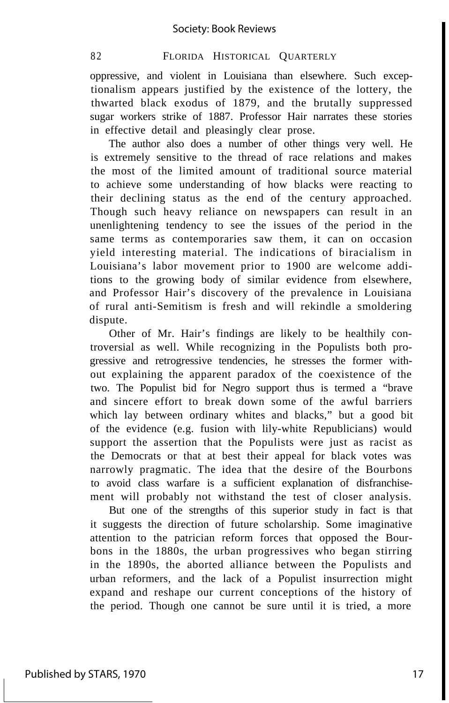oppressive, and violent in Louisiana than elsewhere. Such exceptionalism appears justified by the existence of the lottery, the thwarted black exodus of 1879, and the brutally suppressed sugar workers strike of 1887. Professor Hair narrates these stories in effective detail and pleasingly clear prose.

The author also does a number of other things very well. He is extremely sensitive to the thread of race relations and makes the most of the limited amount of traditional source material to achieve some understanding of how blacks were reacting to their declining status as the end of the century approached. Though such heavy reliance on newspapers can result in an unenlightening tendency to see the issues of the period in the same terms as contemporaries saw them, it can on occasion yield interesting material. The indications of biracialism in Louisiana's labor movement prior to 1900 are welcome additions to the growing body of similar evidence from elsewhere, and Professor Hair's discovery of the prevalence in Louisiana of rural anti-Semitism is fresh and will rekindle a smoldering dispute.

Other of Mr. Hair's findings are likely to be healthily controversial as well. While recognizing in the Populists both progressive and retrogressive tendencies, he stresses the former without explaining the apparent paradox of the coexistence of the two. The Populist bid for Negro support thus is termed a "brave and sincere effort to break down some of the awful barriers which lay between ordinary whites and blacks," but a good bit of the evidence (e.g. fusion with lily-white Republicians) would support the assertion that the Populists were just as racist as the Democrats or that at best their appeal for black votes was narrowly pragmatic. The idea that the desire of the Bourbons to avoid class warfare is a sufficient explanation of disfranchisement will probably not withstand the test of closer analysis.

But one of the strengths of this superior study in fact is that it suggests the direction of future scholarship. Some imaginative attention to the patrician reform forces that opposed the Bourbons in the 1880s, the urban progressives who began stirring in the 1890s, the aborted alliance between the Populists and urban reformers, and the lack of a Populist insurrection might expand and reshape our current conceptions of the history of the period. Though one cannot be sure until it is tried, a more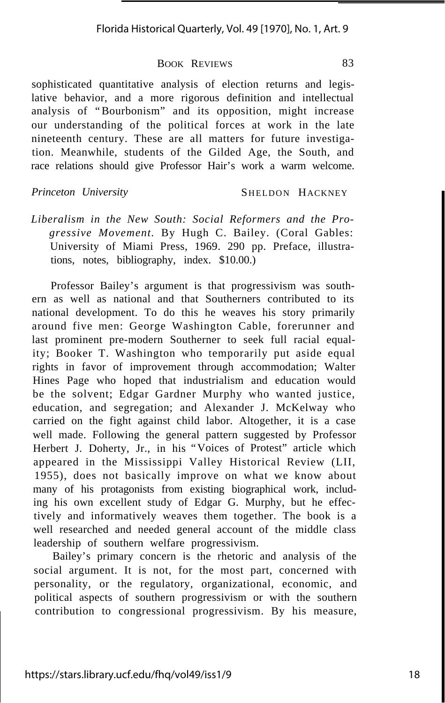sophisticated quantitative analysis of election returns and legislative behavior, and a more rigorous definition and intellectual analysis of "Bourbonism" and its opposition, might increase our understanding of the political forces at work in the late nineteenth century. These are all matters for future investigation. Meanwhile, students of the Gilded Age, the South, and race relations should give Professor Hair's work a warm welcome.

#### *Princeton University* SHELDON HACKNEY

*Liberalism in the New South: Social Reformers and the Progressive Movement.* By Hugh C. Bailey. (Coral Gables: University of Miami Press, 1969. 290 pp. Preface, illustrations, notes, bibliography, index. \$10.00.)

Professor Bailey's argument is that progressivism was southern as well as national and that Southerners contributed to its national development. To do this he weaves his story primarily around five men: George Washington Cable, forerunner and last prominent pre-modern Southerner to seek full racial equality; Booker T. Washington who temporarily put aside equal rights in favor of improvement through accommodation; Walter Hines Page who hoped that industrialism and education would be the solvent; Edgar Gardner Murphy who wanted justice, education, and segregation; and Alexander J. McKelway who carried on the fight against child labor. Altogether, it is a case well made. Following the general pattern suggested by Professor Herbert J. Doherty, Jr., in his "Voices of Protest" article which appeared in the Mississippi Valley Historical Review (LII, 1955), does not basically improve on what we know about many of his protagonists from existing biographical work, including his own excellent study of Edgar G. Murphy, but he effectively and informatively weaves them together. The book is a well researched and needed general account of the middle class leadership of southern welfare progressivism.

Bailey's primary concern is the rhetoric and analysis of the social argument. It is not, for the most part, concerned with personality, or the regulatory, organizational, economic, and political aspects of southern progressivism or with the southern contribution to congressional progressivism. By his measure,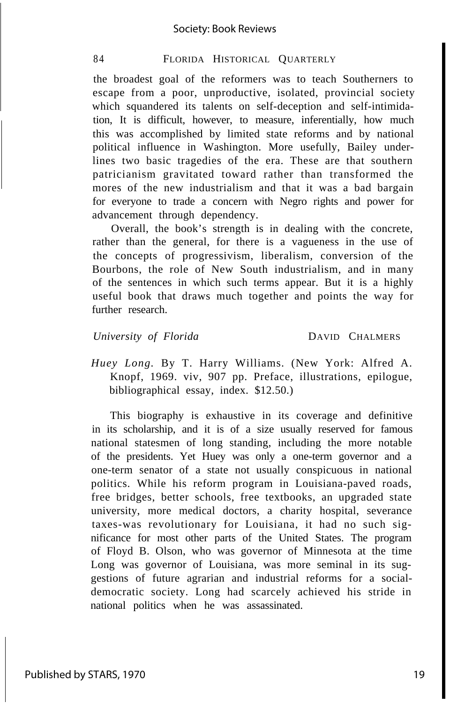the broadest goal of the reformers was to teach Southerners to escape from a poor, unproductive, isolated, provincial society which squandered its talents on self-deception and self-intimidation, It is difficult, however, to measure, inferentially, how much this was accomplished by limited state reforms and by national political influence in Washington. More usefully, Bailey underlines two basic tragedies of the era. These are that southern patricianism gravitated toward rather than transformed the mores of the new industrialism and that it was a bad bargain for everyone to trade a concern with Negro rights and power for advancement through dependency.

Overall, the book's strength is in dealing with the concrete, rather than the general, for there is a vagueness in the use of the concepts of progressivism, liberalism, conversion of the Bourbons, the role of New South industrialism, and in many of the sentences in which such terms appear. But it is a highly useful book that draws much together and points the way for further research.

#### *University of Florida* DAVID CHALMERS

*Huey Long.* By T. Harry Williams. (New York: Alfred A. Knopf, 1969. viv, 907 pp. Preface, illustrations, epilogue, bibliographical essay, index. \$12.50.)

This biography is exhaustive in its coverage and definitive in its scholarship, and it is of a size usually reserved for famous national statesmen of long standing, including the more notable of the presidents. Yet Huey was only a one-term governor and a one-term senator of a state not usually conspicuous in national politics. While his reform program in Louisiana-paved roads, free bridges, better schools, free textbooks, an upgraded state university, more medical doctors, a charity hospital, severance taxes-was revolutionary for Louisiana, it had no such significance for most other parts of the United States. The program of Floyd B. Olson, who was governor of Minnesota at the time Long was governor of Louisiana, was more seminal in its suggestions of future agrarian and industrial reforms for a socialdemocratic society. Long had scarcely achieved his stride in national politics when he was assassinated.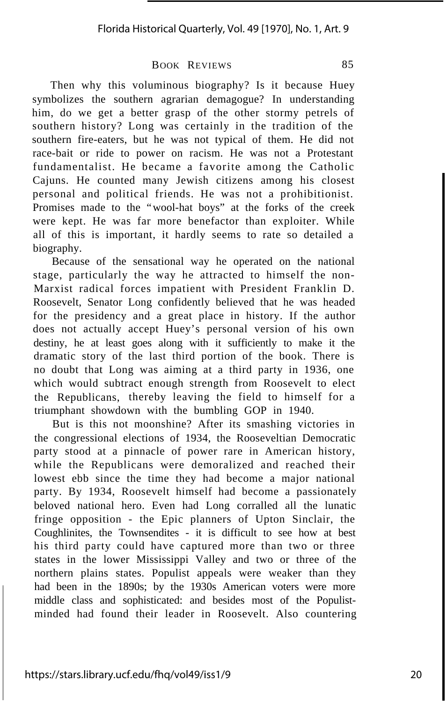Then why this voluminous biography? Is it because Huey symbolizes the southern agrarian demagogue? In understanding him, do we get a better grasp of the other stormy petrels of southern history? Long was certainly in the tradition of the southern fire-eaters, but he was not typical of them. He did not race-bait or ride to power on racism. He was not a Protestant fundamentalist. He became a favorite among the Catholic Cajuns. He counted many Jewish citizens among his closest personal and political friends. He was not a prohibitionist. Promises made to the "wool-hat boys" at the forks of the creek were kept. He was far more benefactor than exploiter. While all of this is important, it hardly seems to rate so detailed a biography.

Because of the sensational way he operated on the national stage, particularly the way he attracted to himself the non-Marxist radical forces impatient with President Franklin D. Roosevelt, Senator Long confidently believed that he was headed for the presidency and a great place in history. If the author does not actually accept Huey's personal version of his own destiny, he at least goes along with it sufficiently to make it the dramatic story of the last third portion of the book. There is no doubt that Long was aiming at a third party in 1936, one which would subtract enough strength from Roosevelt to elect the Republicans, thereby leaving the field to himself for a triumphant showdown with the bumbling GOP in 1940.

But is this not moonshine? After its smashing victories in the congressional elections of 1934, the Rooseveltian Democratic party stood at a pinnacle of power rare in American history, while the Republicans were demoralized and reached their lowest ebb since the time they had become a major national party. By 1934, Roosevelt himself had become a passionately beloved national hero. Even had Long corralled all the lunatic fringe opposition - the Epic planners of Upton Sinclair, the Coughlinites, the Townsendites - it is difficult to see how at best his third party could have captured more than two or three states in the lower Mississippi Valley and two or three of the northern plains states. Populist appeals were weaker than they had been in the 1890s; by the 1930s American voters were more middle class and sophisticated: and besides most of the Populistminded had found their leader in Roosevelt. Also countering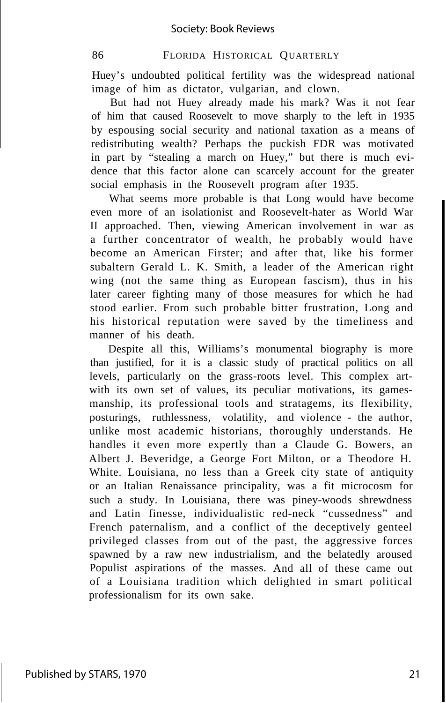Huey's undoubted political fertility was the widespread national image of him as dictator, vulgarian, and clown.

But had not Huey already made his mark? Was it not fear of him that caused Roosevelt to move sharply to the left in 1935 by espousing social security and national taxation as a means of redistributing wealth? Perhaps the puckish FDR was motivated in part by "stealing a march on Huey," but there is much evidence that this factor alone can scarcely account for the greater social emphasis in the Roosevelt program after 1935.

What seems more probable is that Long would have become even more of an isolationist and Roosevelt-hater as World War II approached. Then, viewing American involvement in war as a further concentrator of wealth, he probably would have become an American Firster; and after that, like his former subaltern Gerald L. K. Smith, a leader of the American right wing (not the same thing as European fascism), thus in his later career fighting many of those measures for which he had stood earlier. From such probable bitter frustration, Long and his historical reputation were saved by the timeliness and manner of his death.

Despite all this, Williams's monumental biography is more than justified, for it is a classic study of practical politics on all levels, particularly on the grass-roots level. This complex artwith its own set of values, its peculiar motivations, its gamesmanship, its professional tools and stratagems, its flexibility, posturings, ruthlessness, volatility, and violence - the author, unlike most academic historians, thoroughly understands. He handles it even more expertly than a Claude G. Bowers, an Albert J. Beveridge, a George Fort Milton, or a Theodore H. White. Louisiana, no less than a Greek city state of antiquity or an Italian Renaissance principality, was a fit microcosm for such a study. In Louisiana, there was piney-woods shrewdness and Latin finesse, individualistic red-neck "cussedness" and French paternalism, and a conflict of the deceptively genteel privileged classes from out of the past, the aggressive forces spawned by a raw new industrialism, and the belatedly aroused Populist aspirations of the masses. And all of these came out of a Louisiana tradition which delighted in smart political professionalism for its own sake.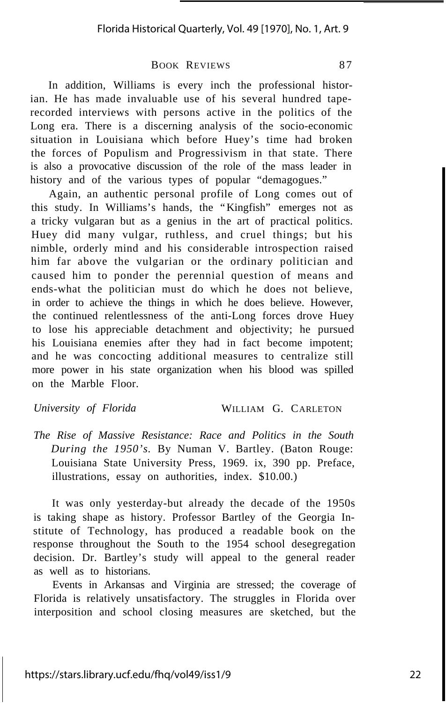In addition, Williams is every inch the professional historian. He has made invaluable use of his several hundred taperecorded interviews with persons active in the politics of the Long era. There is a discerning analysis of the socio-economic situation in Louisiana which before Huey's time had broken the forces of Populism and Progressivism in that state. There is also a provocative discussion of the role of the mass leader in history and of the various types of popular "demagogues."

Again, an authentic personal profile of Long comes out of this study. In Williams's hands, the "Kingfish" emerges not as a tricky vulgaran but as a genius in the art of practical politics. Huey did many vulgar, ruthless, and cruel things; but his nimble, orderly mind and his considerable introspection raised him far above the vulgarian or the ordinary politician and caused him to ponder the perennial question of means and ends-what the politician must do which he does not believe, in order to achieve the things in which he does believe. However, the continued relentlessness of the anti-Long forces drove Huey to lose his appreciable detachment and objectivity; he pursued his Louisiana enemies after they had in fact become impotent; and he was concocting additional measures to centralize still more power in his state organization when his blood was spilled on the Marble Floor.

*University of Florida* WILLIAM G. CARLETON

*The Rise of Massive Resistance: Race and Politics in the South During the 1950's.* By Numan V. Bartley. (Baton Rouge: Louisiana State University Press, 1969. ix, 390 pp. Preface, illustrations, essay on authorities, index. \$10.00.)

It was only yesterday-but already the decade of the 1950s is taking shape as history. Professor Bartley of the Georgia Institute of Technology, has produced a readable book on the response throughout the South to the 1954 school desegregation decision. Dr. Bartley's study will appeal to the general reader as well as to historians.

Events in Arkansas and Virginia are stressed; the coverage of Florida is relatively unsatisfactory. The struggles in Florida over interposition and school closing measures are sketched, but the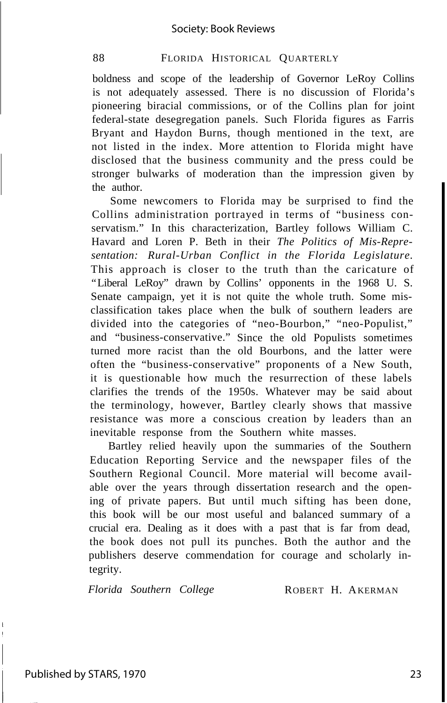boldness and scope of the leadership of Governor LeRoy Collins is not adequately assessed. There is no discussion of Florida's pioneering biracial commissions, or of the Collins plan for joint federal-state desegregation panels. Such Florida figures as Farris Bryant and Haydon Burns, though mentioned in the text, are not listed in the index. More attention to Florida might have disclosed that the business community and the press could be stronger bulwarks of moderation than the impression given by the author.

Some newcomers to Florida may be surprised to find the Collins administration portrayed in terms of "business conservatism." In this characterization, Bartley follows William C. Havard and Loren P. Beth in their *The Politics of Mis-Representation: Rural-Urban Conflict in the Florida Legislature.* This approach is closer to the truth than the caricature of "Liberal LeRoy" drawn by Collins' opponents in the 1968 U. S. Senate campaign, yet it is not quite the whole truth. Some misclassification takes place when the bulk of southern leaders are divided into the categories of "neo-Bourbon," "neo-Populist," and "business-conservative." Since the old Populists sometimes turned more racist than the old Bourbons, and the latter were often the "business-conservative" proponents of a New South, it is questionable how much the resurrection of these labels clarifies the trends of the 1950s. Whatever may be said about the terminology, however, Bartley clearly shows that massive resistance was more a conscious creation by leaders than an inevitable response from the Southern white masses.

Bartley relied heavily upon the summaries of the Southern Education Reporting Service and the newspaper files of the Southern Regional Council. More material will become available over the years through dissertation research and the opening of private papers. But until much sifting has been done, this book will be our most useful and balanced summary of a crucial era. Dealing as it does with a past that is far from dead, the book does not pull its punches. Both the author and the publishers deserve commendation for courage and scholarly integrity.

*Florida Southern College* ROBERT H. AKERMAN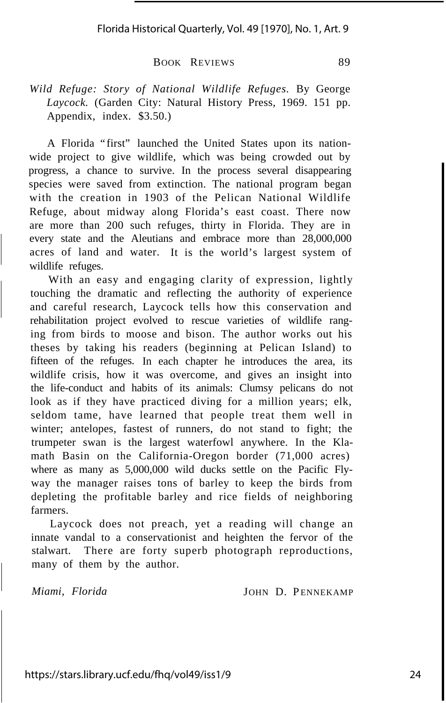## *Wild Refuge: Story of National Wildlife Refuges.* By George *Laycock.* (Garden City: Natural History Press, 1969. 151 pp. Appendix, index. \$3.50.)

A Florida "first" launched the United States upon its nationwide project to give wildlife, which was being crowded out by progress, a chance to survive. In the process several disappearing species were saved from extinction. The national program began with the creation in 1903 of the Pelican National Wildlife Refuge, about midway along Florida's east coast. There now are more than 200 such refuges, thirty in Florida. They are in every state and the Aleutians and embrace more than 28,000,000 acres of land and water. It is the world's largest system of wildlife refuges.

With an easy and engaging clarity of expression, lightly touching the dramatic and reflecting the authority of experience and careful research, Laycock tells how this conservation and rehabilitation project evolved to rescue varieties of wildlife ranging from birds to moose and bison. The author works out his theses by taking his readers (beginning at Pelican Island) to fifteen of the refuges. In each chapter he introduces the area, its wildlife crisis, how it was overcome, and gives an insight into the life-conduct and habits of its animals: Clumsy pelicans do not look as if they have practiced diving for a million years; elk, seldom tame, have learned that people treat them well in winter; antelopes, fastest of runners, do not stand to fight; the trumpeter swan is the largest waterfowl anywhere. In the Klamath Basin on the California-Oregon border (71,000 acres) where as many as 5,000,000 wild ducks settle on the Pacific Flyway the manager raises tons of barley to keep the birds from depleting the profitable barley and rice fields of neighboring farmers.

Laycock does not preach, yet a reading will change an innate vandal to a conservationist and heighten the fervor of the stalwart. There are forty superb photograph reproductions, many of them by the author.

*Miami, Florida* JOHN D. PENNEKAMP